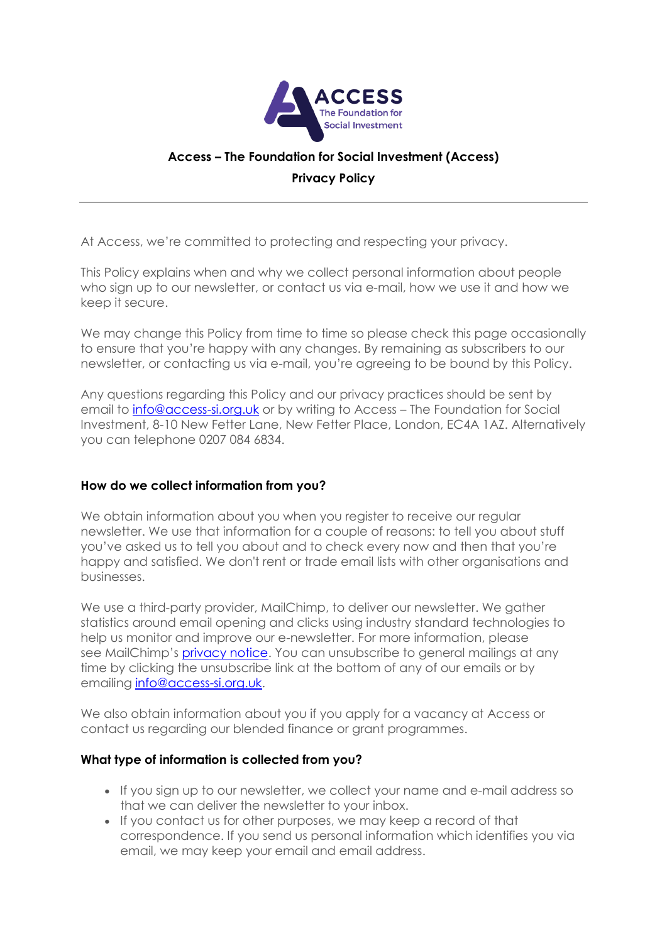

# **Access – The Foundation for Social Investment (Access) Privacy Policy**

At Access, we're committed to protecting and respecting your privacy.

This Policy explains when and why we collect personal information about people who sign up to our newsletter, or contact us via e-mail, how we use it and how we keep it secure.

We may change this Policy from time to time so please check this page occasionally to ensure that you're happy with any changes. By remaining as subscribers to our newsletter, or contacting us via e-mail, you're agreeing to be bound by this Policy.

Any questions regarding this Policy and our privacy practices should be sent by email to **[info@access-si.org.uk](mailto:info@access-si.org.uk)** or by writing to Access – The Foundation for Social Investment, 8-10 New Fetter Lane, New Fetter Place, London, EC4A 1AZ. Alternatively you can telephone 0207 084 6834.

## **How do we collect information from you?**

We obtain information about you when you register to receive our regular newsletter. We use that information for a couple of reasons: to tell you about stuff you've asked us to tell you about and to check every now and then that you're happy and satisfied. We don't rent or trade email lists with other organisations and businesses.

We use a third-party provider, MailChimp, to deliver our newsletter. We gather statistics around email opening and clicks using industry standard technologies to help us monitor and improve our e-newsletter. For more information, please see MailChimp's [privacy notice.](https://mailchimp.com/legal/privacy/) You can unsubscribe to general mailings at any time by clicking the unsubscribe link at the bottom of any of our emails or by emailing [info@access-si.org.uk.](mailto:info@access-si.org.uk)

We also obtain information about you if you apply for a vacancy at Access or contact us regarding our blended finance or grant programmes.

## **What type of information is collected from you?**

- If you sign up to our newsletter, we collect your name and e-mail address so that we can deliver the newsletter to your inbox.
- If you contact us for other purposes, we may keep a record of that correspondence. If you send us personal information which identifies you via email, we may keep your email and email address.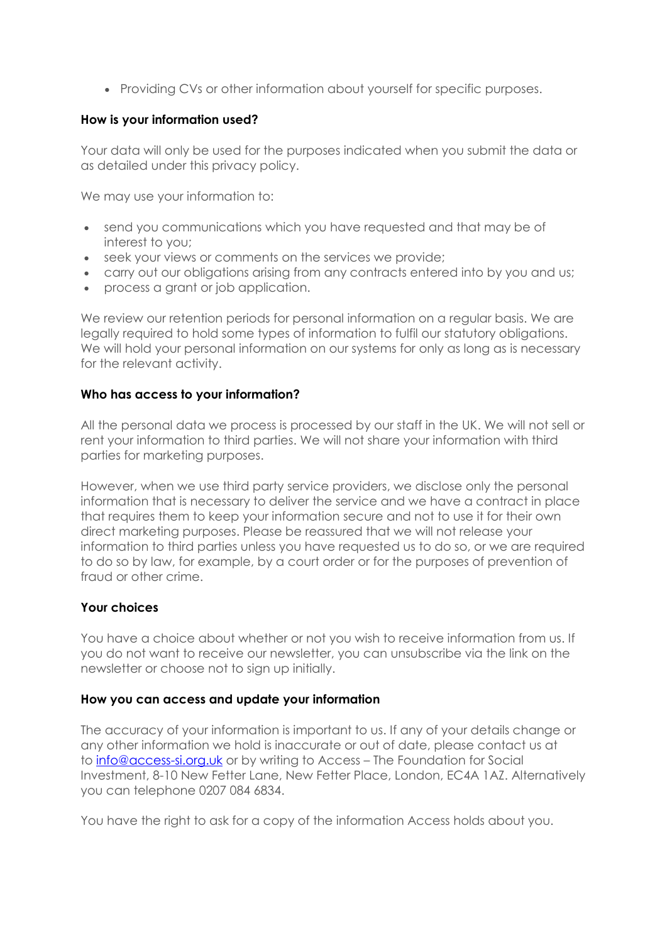Providing CVs or other information about yourself for specific purposes.

## **How is your information used?**

Your data will only be used for the purposes indicated when you submit the data or as detailed under this privacy policy.

We may use your information to:

- send you communications which you have requested and that may be of interest to you;
- seek your views or comments on the services we provide;
- carry out our obligations arising from any contracts entered into by you and us;
- process a grant or job application.

We review our retention periods for personal information on a regular basis. We are legally required to hold some types of information to fulfil our statutory obligations. We will hold your personal information on our systems for only as long as is necessary for the relevant activity.

### **Who has access to your information?**

All the personal data we process is processed by our staff in the UK. We will not sell or rent your information to third parties. We will not share your information with third parties for marketing purposes.

However, when we use third party service providers, we disclose only the personal information that is necessary to deliver the service and we have a contract in place that requires them to keep your information secure and not to use it for their own direct marketing purposes. Please be reassured that we will not release your information to third parties unless you have requested us to do so, or we are required to do so by law, for example, by a court order or for the purposes of prevention of fraud or other crime.

## **Your choices**

You have a choice about whether or not you wish to receive information from us. If you do not want to receive our newsletter, you can unsubscribe via the link on the newsletter or choose not to sign up initially.

#### **How you can access and update your information**

The accuracy of your information is important to us. If any of your details change or any other information we hold is inaccurate or out of date, please contact us at to [info@access-si.org.uk](mailto:info@access-si.org.uk) or by writing to Access – The Foundation for Social Investment, 8-10 New Fetter Lane, New Fetter Place, London, EC4A 1AZ. Alternatively you can telephone 0207 084 6834.

You have the right to ask for a copy of the information Access holds about you.